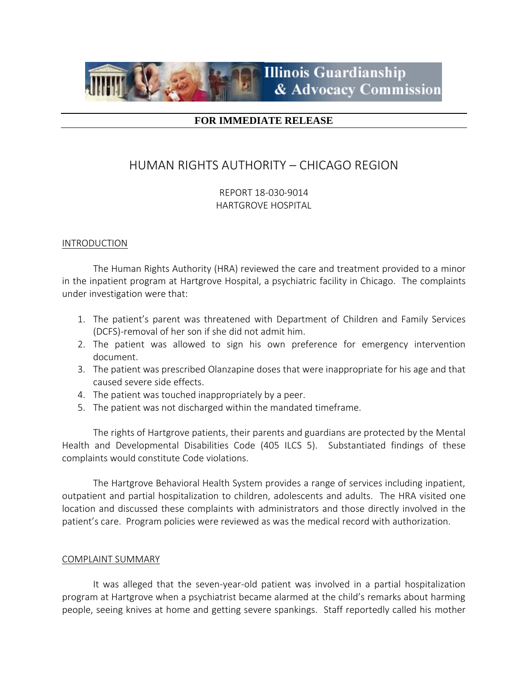

# **FOR IMMEDIATE RELEASE**

# HUMAN RIGHTS AUTHORITY – CHICAGO REGION

REPORT 18-030-9014 HARTGROVE HOSPITAL

### INTRODUCTION

The Human Rights Authority (HRA) reviewed the care and treatment provided to a minor in the inpatient program at Hartgrove Hospital, a psychiatric facility in Chicago. The complaints under investigation were that:

- 1. The patient's parent was threatened with Department of Children and Family Services (DCFS)-removal of her son if she did not admit him.
- 2. The patient was allowed to sign his own preference for emergency intervention document.
- 3. The patient was prescribed Olanzapine doses that were inappropriate for his age and that caused severe side effects.
- 4. The patient was touched inappropriately by a peer.
- 5. The patient was not discharged within the mandated timeframe.

The rights of Hartgrove patients, their parents and guardians are protected by the Mental Health and Developmental Disabilities Code (405 ILCS 5). Substantiated findings of these complaints would constitute Code violations.

The Hartgrove Behavioral Health System provides a range of services including inpatient, outpatient and partial hospitalization to children, adolescents and adults. The HRA visited one location and discussed these complaints with administrators and those directly involved in the patient's care. Program policies were reviewed as was the medical record with authorization.

# COMPLAINT SUMMARY

It was alleged that the seven-year-old patient was involved in a partial hospitalization program at Hartgrove when a psychiatrist became alarmed at the child's remarks about harming people, seeing knives at home and getting severe spankings. Staff reportedly called his mother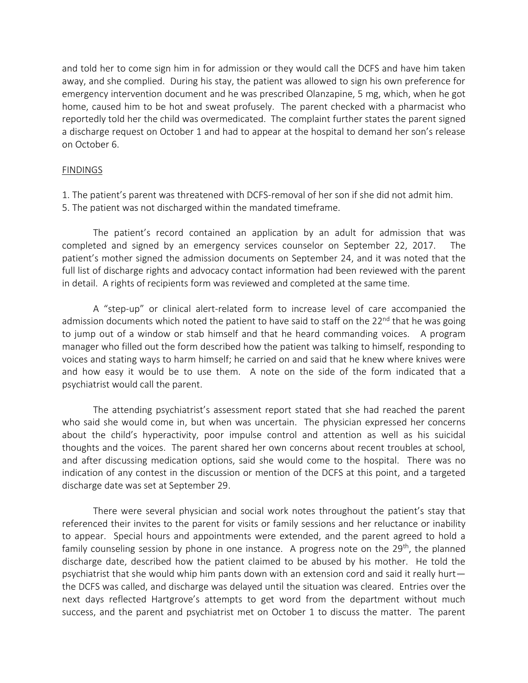and told her to come sign him in for admission or they would call the DCFS and have him taken away, and she complied. During his stay, the patient was allowed to sign his own preference for emergency intervention document and he was prescribed Olanzapine, 5 mg, which, when he got home, caused him to be hot and sweat profusely. The parent checked with a pharmacist who reportedly told her the child was overmedicated. The complaint further states the parent signed a discharge request on October 1 and had to appear at the hospital to demand her son's release on October 6.

### FINDINGS

1. The patient's parent was threatened with DCFS-removal of her son if she did not admit him.

5. The patient was not discharged within the mandated timeframe.

The patient's record contained an application by an adult for admission that was completed and signed by an emergency services counselor on September 22, 2017. The patient's mother signed the admission documents on September 24, and it was noted that the full list of discharge rights and advocacy contact information had been reviewed with the parent in detail. A rights of recipients form was reviewed and completed at the same time.

A "step-up" or clinical alert-related form to increase level of care accompanied the admission documents which noted the patient to have said to staff on the  $22^{nd}$  that he was going to jump out of a window or stab himself and that he heard commanding voices. A program manager who filled out the form described how the patient was talking to himself, responding to voices and stating ways to harm himself; he carried on and said that he knew where knives were and how easy it would be to use them. A note on the side of the form indicated that a psychiatrist would call the parent.

The attending psychiatrist's assessment report stated that she had reached the parent who said she would come in, but when was uncertain. The physician expressed her concerns about the child's hyperactivity, poor impulse control and attention as well as his suicidal thoughts and the voices. The parent shared her own concerns about recent troubles at school, and after discussing medication options, said she would come to the hospital. There was no indication of any contest in the discussion or mention of the DCFS at this point, and a targeted discharge date was set at September 29.

There were several physician and social work notes throughout the patient's stay that referenced their invites to the parent for visits or family sessions and her reluctance or inability to appear. Special hours and appointments were extended, and the parent agreed to hold a family counseling session by phone in one instance. A progress note on the 29<sup>th</sup>, the planned discharge date, described how the patient claimed to be abused by his mother. He told the psychiatrist that she would whip him pants down with an extension cord and said it really hurt the DCFS was called, and discharge was delayed until the situation was cleared. Entries over the next days reflected Hartgrove's attempts to get word from the department without much success, and the parent and psychiatrist met on October 1 to discuss the matter. The parent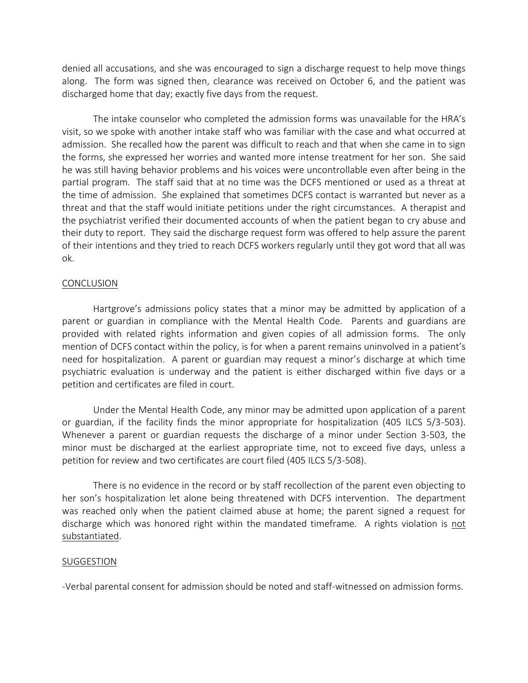denied all accusations, and she was encouraged to sign a discharge request to help move things along. The form was signed then, clearance was received on October 6, and the patient was discharged home that day; exactly five days from the request.

The intake counselor who completed the admission forms was unavailable for the HRA's visit, so we spoke with another intake staff who was familiar with the case and what occurred at admission. She recalled how the parent was difficult to reach and that when she came in to sign the forms, she expressed her worries and wanted more intense treatment for her son. She said he was still having behavior problems and his voices were uncontrollable even after being in the partial program. The staff said that at no time was the DCFS mentioned or used as a threat at the time of admission. She explained that sometimes DCFS contact is warranted but never as a threat and that the staff would initiate petitions under the right circumstances. A therapist and the psychiatrist verified their documented accounts of when the patient began to cry abuse and their duty to report. They said the discharge request form was offered to help assure the parent of their intentions and they tried to reach DCFS workers regularly until they got word that all was ok.

#### CONCLUSION

Hartgrove's admissions policy states that a minor may be admitted by application of a parent or guardian in compliance with the Mental Health Code. Parents and guardians are provided with related rights information and given copies of all admission forms. The only mention of DCFS contact within the policy, is for when a parent remains uninvolved in a patient's need for hospitalization. A parent or guardian may request a minor's discharge at which time psychiatric evaluation is underway and the patient is either discharged within five days or a petition and certificates are filed in court.

Under the Mental Health Code, any minor may be admitted upon application of a parent or guardian, if the facility finds the minor appropriate for hospitalization (405 ILCS 5/3-503). Whenever a parent or guardian requests the discharge of a minor under Section 3-503, the minor must be discharged at the earliest appropriate time, not to exceed five days, unless a petition for review and two certificates are court filed (405 ILCS 5/3-508).

There is no evidence in the record or by staff recollection of the parent even objecting to her son's hospitalization let alone being threatened with DCFS intervention. The department was reached only when the patient claimed abuse at home; the parent signed a request for discharge which was honored right within the mandated timeframe. A rights violation is not substantiated.

### SUGGESTION

-Verbal parental consent for admission should be noted and staff-witnessed on admission forms.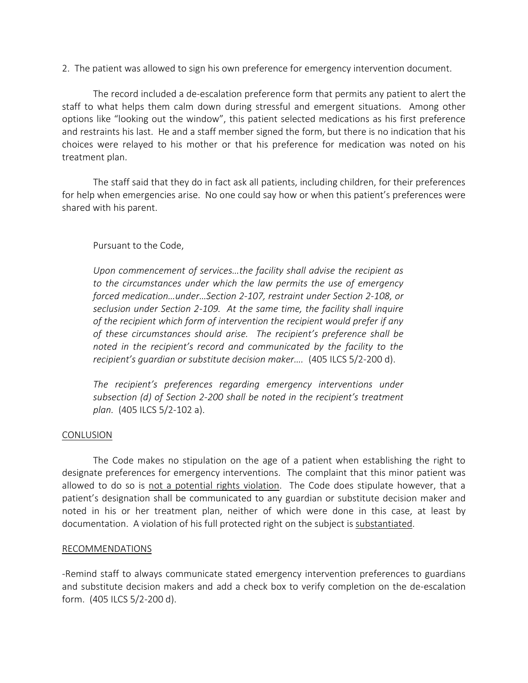2. The patient was allowed to sign his own preference for emergency intervention document.

The record included a de-escalation preference form that permits any patient to alert the staff to what helps them calm down during stressful and emergent situations. Among other options like "looking out the window", this patient selected medications as his first preference and restraints his last. He and a staff member signed the form, but there is no indication that his choices were relayed to his mother or that his preference for medication was noted on his treatment plan.

The staff said that they do in fact ask all patients, including children, for their preferences for help when emergencies arise. No one could say how or when this patient's preferences were shared with his parent.

# Pursuant to the Code,

*Upon commencement of services…the facility shall advise the recipient as to the circumstances under which the law permits the use of emergency forced medication…under…Section 2-107, restraint under Section 2-108, or seclusion under Section 2-109. At the same time, the facility shall inquire of the recipient which form of intervention the recipient would prefer if any of these circumstances should arise. The recipient's preference shall be noted in the recipient's record and communicated by the facility to the recipient's guardian or substitute decision maker….* (405 ILCS 5/2-200 d).

*The recipient's preferences regarding emergency interventions under subsection (d) of Section 2-200 shall be noted in the recipient's treatment plan.* (405 ILCS 5/2-102 a).

# **CONLUSION**

The Code makes no stipulation on the age of a patient when establishing the right to designate preferences for emergency interventions. The complaint that this minor patient was allowed to do so is not a potential rights violation. The Code does stipulate however, that a patient's designation shall be communicated to any guardian or substitute decision maker and noted in his or her treatment plan, neither of which were done in this case, at least by documentation. A violation of his full protected right on the subject is substantiated.

# RECOMMENDATIONS

-Remind staff to always communicate stated emergency intervention preferences to guardians and substitute decision makers and add a check box to verify completion on the de-escalation form. (405 ILCS 5/2-200 d).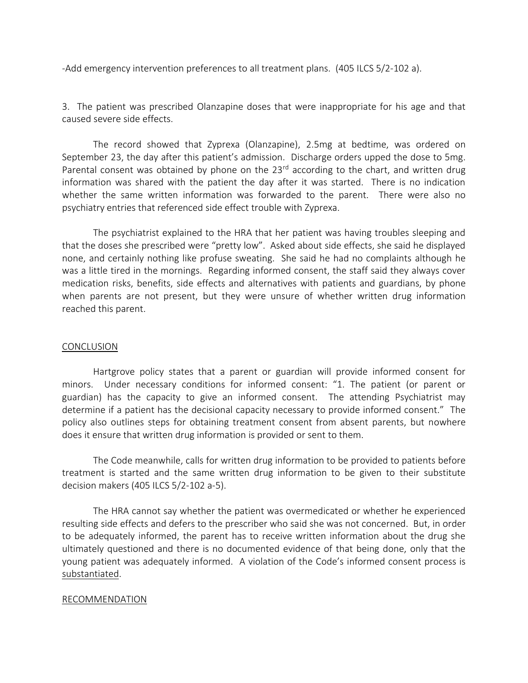-Add emergency intervention preferences to all treatment plans. (405 ILCS 5/2-102 a).

3. The patient was prescribed Olanzapine doses that were inappropriate for his age and that caused severe side effects.

The record showed that Zyprexa (Olanzapine), 2.5mg at bedtime, was ordered on September 23, the day after this patient's admission. Discharge orders upped the dose to 5mg. Parental consent was obtained by phone on the  $23<sup>rd</sup>$  according to the chart, and written drug information was shared with the patient the day after it was started. There is no indication whether the same written information was forwarded to the parent. There were also no psychiatry entries that referenced side effect trouble with Zyprexa.

The psychiatrist explained to the HRA that her patient was having troubles sleeping and that the doses she prescribed were "pretty low". Asked about side effects, she said he displayed none, and certainly nothing like profuse sweating. She said he had no complaints although he was a little tired in the mornings. Regarding informed consent, the staff said they always cover medication risks, benefits, side effects and alternatives with patients and guardians, by phone when parents are not present, but they were unsure of whether written drug information reached this parent.

### CONCLUSION

Hartgrove policy states that a parent or guardian will provide informed consent for minors. Under necessary conditions for informed consent: "1. The patient (or parent or guardian) has the capacity to give an informed consent. The attending Psychiatrist may determine if a patient has the decisional capacity necessary to provide informed consent." The policy also outlines steps for obtaining treatment consent from absent parents, but nowhere does it ensure that written drug information is provided or sent to them.

The Code meanwhile, calls for written drug information to be provided to patients before treatment is started and the same written drug information to be given to their substitute decision makers (405 ILCS 5/2-102 a-5).

The HRA cannot say whether the patient was overmedicated or whether he experienced resulting side effects and defers to the prescriber who said she was not concerned. But, in order to be adequately informed, the parent has to receive written information about the drug she ultimately questioned and there is no documented evidence of that being done, only that the young patient was adequately informed. A violation of the Code's informed consent process is substantiated.

### RECOMMENDATION